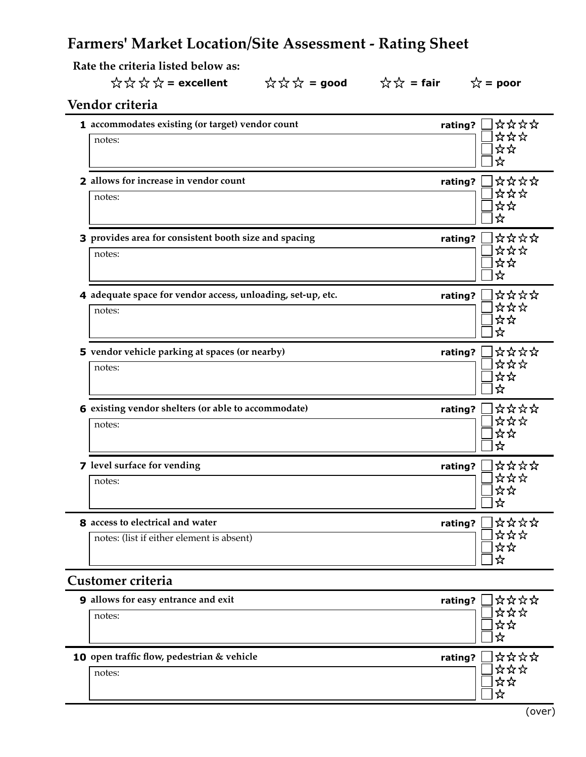# **Farmers' Market Location/Site Assessment - Rating Sheet**

 **Rate the criteria listed below as:**

# $\overleftrightarrow{\chi} \overleftrightarrow{\chi} \overleftrightarrow{\chi} =$  excellent  $\overleftrightarrow{\chi} \overleftrightarrow{\chi} =$  good  $\overleftrightarrow{\chi} \overleftrightarrow{\chi} =$  fair  $\overleftrightarrow{\chi} =$  poor

## **Vendor criteria**

|                                                             |         | ****    |
|-------------------------------------------------------------|---------|---------|
| 1 accommodates existing (or target) vendor count            | rating? | ***     |
| notes:                                                      |         | ☆☆      |
|                                                             |         | ☆       |
| 2 allows for increase in vendor count                       |         | ****    |
|                                                             | rating? | ***     |
| notes:                                                      |         | ☆☆      |
|                                                             |         | ☆       |
| 3 provides area for consistent booth size and spacing       | rating? | ****    |
| notes:                                                      |         | ***     |
|                                                             |         | ☆☆      |
|                                                             |         | ☆       |
| 4 adequate space for vendor access, unloading, set-up, etc. | rating? | ****    |
| notes:                                                      |         | ***     |
|                                                             |         | ☆☆<br>☆ |
|                                                             |         |         |
| 5 vendor vehicle parking at spaces (or nearby)              | rating? | ****    |
| notes:                                                      |         | ***     |
|                                                             |         | ☆☆<br>☆ |
|                                                             |         |         |
| 6 existing vendor shelters (or able to accommodate)         | rating? | ****    |
| notes:                                                      |         | ***     |
|                                                             |         | ☆☆<br>☆ |
|                                                             |         |         |
| 7 level surface for vending                                 | rating? | ****    |
| notes:                                                      |         | ***     |
|                                                             |         | ☆☆<br>☆ |
|                                                             |         |         |
| 8 access to electrical and water                            | rating? | ****    |
| notes: (list if either element is absent)                   |         | ***     |
|                                                             |         | ☆☆<br>☆ |
|                                                             |         |         |

### **Customer criteria**

| <b>9</b> allows for easy entrance and exit | ****<br>rating?        |
|--------------------------------------------|------------------------|
| notes:                                     | ☆☆☆                    |
|                                            |                        |
| 10 open traffic flow, pedestrian & vehicle | ****<br>rating?<br>☆☆☆ |